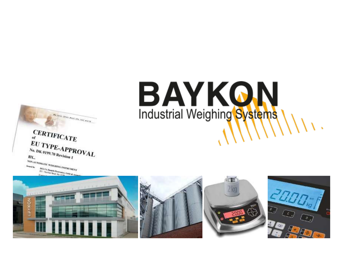

BAYKON Industrial Weighing Systems

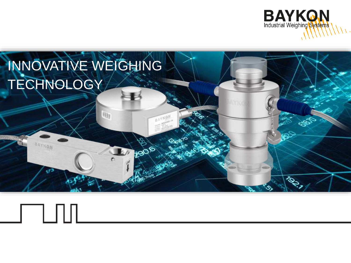

## INNOVATIVE WEIGHING TECHNOLOGY

 $\Box$ 

咖

BAYION

2906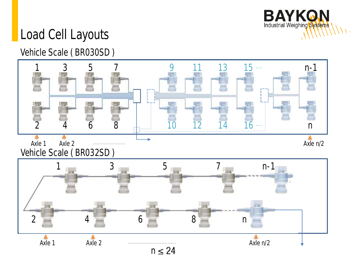

#### Load Cell Layouts

#### Vehicle Scale ( BR030SD )

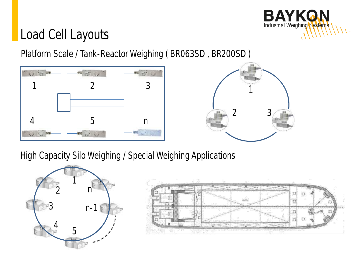

#### Load Cell Layouts

Platform Scale / Tank-Reactor Weighing ( BR063SD , BR200SD )





High Capacity Silo Weighing / Special Weighing Applications

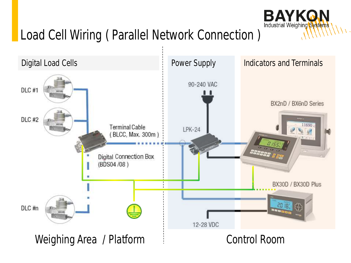

### Load Cell Wiring ( Parallel Network Connection )

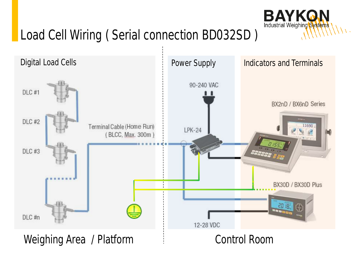

## Load Cell Wiring ( Serial connection BD032SD )

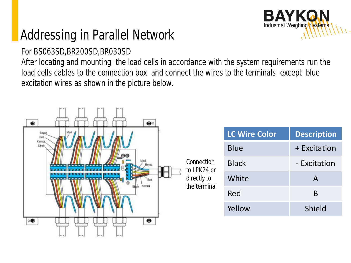### Addressing in Parallel Network

#### For BS063SD,BR200SD,BR030SD

After locating and mounting the load cells in accordance with the system requirements run the load cells cables to the connection box and connect the wires to the terminals except blue excitation wires as shown in the picture below.

**BAYKON** Industrial Weighing Systems

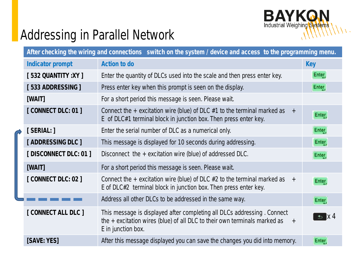

#### Addressing in Parallel Network

| After checking the wiring and connections switch on the system / device and access to the programming menu. |                                                                                                                                                                                     |                    |
|-------------------------------------------------------------------------------------------------------------|-------------------------------------------------------------------------------------------------------------------------------------------------------------------------------------|--------------------|
| Indicator prompt                                                                                            | Action to do                                                                                                                                                                        | <b>Key</b>         |
| [532 QUANTITY : XY ]                                                                                        | Enter the quantity of DLCs used into the scale and then press enter key.                                                                                                            | Enter              |
| [533 ADDRESSING]                                                                                            | Press enter key when this prompt is seen on the display.                                                                                                                            | Enter <sub>,</sub> |
| [WAIT]                                                                                                      | For a short period this message is seen. Please wait.                                                                                                                               |                    |
| [CONNECT DLC: 01]                                                                                           | Connect the $+$ excitation wire (blue) of DLC #1 to the terminal marked as $+$<br>E of DLC#1 terminal block in junction box. Then press enter key.                                  | Enter              |
| [SERIAL: ]                                                                                                  | Enter the serial number of DLC as a numerical only.                                                                                                                                 | Enter <sub>,</sub> |
| [ADDRESSING DLC]                                                                                            | This message is displayed for 10 seconds during addressing.                                                                                                                         | Enter,             |
| [DISCONNECT DLC: 01]                                                                                        | Disconnect the $+$ excitation wire (blue) of addressed DLC.                                                                                                                         | Enter <sub>,</sub> |
| [WAIT]                                                                                                      | For a short period this message is seen. Please wait.                                                                                                                               |                    |
| [CONNECT DLC: 02]                                                                                           | Connect the + excitation wire (blue) of DLC #2 to the terminal marked as $+$<br>E of DLC#2 terminal block in junction box. Then press enter key.                                    | Enter              |
|                                                                                                             | Address all other DLCs to be addressed in the same way.                                                                                                                             | Enter <sub>,</sub> |
| [ CONNECT ALL DLC ]                                                                                         | This message is displayed after completing all DLCs addressing. Connect<br>the $+$ excitation wires (blue) of all DLC to their own terminals marked as<br>$+$<br>E in junction box. | $\pm$ X4           |
| [SAVE: YES]                                                                                                 | After this message displayed you can save the changes you did into memory.                                                                                                          | Enter              |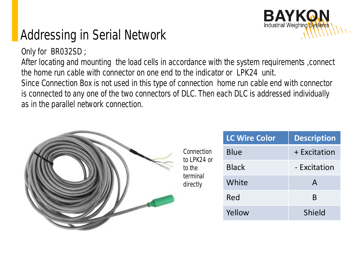#### Addressing in Serial Network

Only for BR032SD ;

After locating and mounting the load cells in accordance with the system requirements ,connect the home run cable with connector on one end to the indicator or LPK24 unit.

BAYKO.

Industrial Weighing Systems

Since Connection Box is not used in this type of connection home run cable end with connector is connected to any one of the two connectors of DLC. Then each DLC is addressed individually as in the parallel network connection.

|  |                                                             | <b>LC Wire Color</b> | <b>Description</b> |
|--|-------------------------------------------------------------|----------------------|--------------------|
|  | Connection<br>to LPK24 or<br>to the<br>terminal<br>directly | <b>Blue</b>          | + Excitation       |
|  |                                                             | <b>Black</b>         | - Excitation       |
|  |                                                             | White                | $\mathsf{A}$       |
|  |                                                             | Red                  | B                  |
|  |                                                             | Yellow               | Shield             |
|  |                                                             |                      |                    |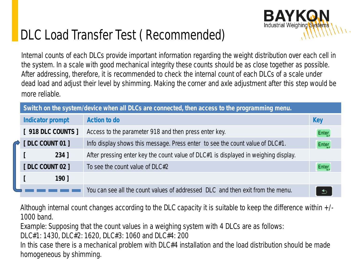#### DLC Load Transfer Test ( Recommended)

Internal counts of each DLCs provide important information regarding the weight distribution over each cell in the system. In a scale with good mechanical integrity these counts should be as close together as possible. After addressing, therefore, it is recommended to check the internal count of each DLCs of a scale under dead load and adjust their level by shimming. Making the corner and axle adjustment after this step would be more reliable.

**BAYKO** 

Industrial Weighing Systems

| Switch on the system/device when all DLCs are connected, then access to the programming menu. |                    |                                                                                     |                    |
|-----------------------------------------------------------------------------------------------|--------------------|-------------------------------------------------------------------------------------|--------------------|
|                                                                                               | Indicator prompt   | Action to do                                                                        | Key                |
|                                                                                               | [ 918 DLC COUNTS ] | Access to the parameter 918 and then press enter key.                               | Enter,             |
|                                                                                               | [DLC COUNT 01]     | Info display shows this message. Press enter to see the count value of DLC#1.       | Enter <sub>,</sub> |
|                                                                                               | $234$ ]            | After pressing enter key the count value of DLC#1 is displayed in weighing display. |                    |
|                                                                                               | [DLC COUNT 02]     | To see the count value of DLC#2                                                     | Enter              |
|                                                                                               | $190$ ]            |                                                                                     |                    |
|                                                                                               |                    | You can see all the count values of addressed DLC and then exit from the menu.      |                    |

Although internal count changes according to the DLC capacity it is suitable to keep the difference within +/- 1000 band.

Example: Supposing that the count values in a weighing system with 4 DLCs are as follows:

DLC#1: 1430, DLC#2: 1620, DLC#3: 1060 and DLC#4: 200

In this case there is a mechanical problem with DLC#4 installation and the load distribution should be made homogeneous by shimming.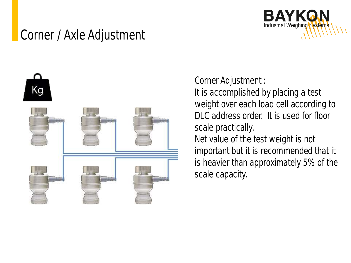#### Corner / Axle Adjustment



Corner Adjustment : It is accomplished by placing a test weight over each load cell according to DLC address order. It is used for floor scale practically. Net value of the test weight is not important but it is recommended that it is heavier than approximately 5% of the scale capacity.

**BAYKON** Industrial Weighing Systems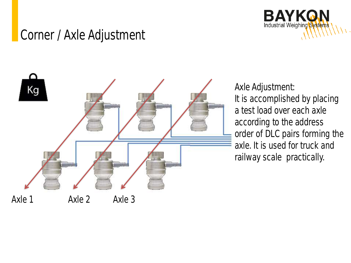



Axle Adjustment: It is accomplished by placing a test load over each axle according to the address order of DLC pairs forming the axle. It is used for truck and railway scale practically.

**BAYKON** Industrial Weighing Systems

Axle 1 Axle 2 Axle 3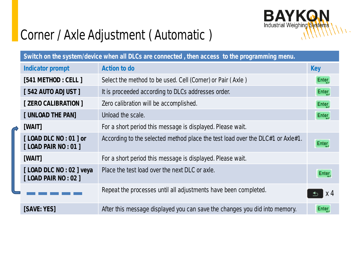

#### Corner / Axle Adjustment ( Automatic )

| Switch on the system/device when all DLCs are connected, then access to the programming menu. |                                                                                |            |
|-----------------------------------------------------------------------------------------------|--------------------------------------------------------------------------------|------------|
| Indicator prompt                                                                              | Action to do                                                                   | <b>Key</b> |
| [541 METHOD: CELL]                                                                            | Select the method to be used. Cell (Corner) or Pair (Axle)                     | Enter,     |
| [542 AUTO ADJUST]                                                                             | It is proceeded according to DLCs addresses order.                             | Enter,     |
| [ ZERO CALIBRATION ]                                                                          | Zero calibration will be accomplished.                                         | Enter,     |
| [ UNLOAD THE PAN]                                                                             | Unload the scale.                                                              | Enter      |
| [WAIT]                                                                                        | For a short period this message is displayed. Please wait.                     |            |
| [LOAD DLC NO : 01 ] or<br>[LOAD PAIR NO : 01 ]                                                | According to the selected method place the test load over the DLC#1 or Axle#1. | Enter      |
| [WAIT]                                                                                        | For a short period this message is displayed. Please wait.                     |            |
| [LOAD DLC NO : 02 ] veya<br>[LOAD PAIR NO : 02]                                               | Place the test load over the next DLC or axle.                                 | Enter      |
|                                                                                               | Repeat the processes until all adjustments have been completed.                | x 4        |
| [SAVE: YES]                                                                                   | After this message displayed you can save the changes you did into memory.     | Enter,     |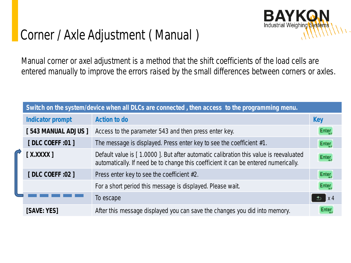

#### Corner / Axle Adjustment ( Manual )

Manual corner or axel adjustment is a method that the shift coefficients of the load cells are entered manually to improve the errors raised by the small differences between corners or axles.

|  | Switch on the system/device when all DLCs are connected, then access to the programming menu. |                                                                                                                                                                             |                       |
|--|-----------------------------------------------------------------------------------------------|-----------------------------------------------------------------------------------------------------------------------------------------------------------------------------|-----------------------|
|  | Indicator prompt                                                                              | Action to do                                                                                                                                                                | Key                   |
|  | [543 MANUAL ADJUS]                                                                            | Access to the parameter 543 and then press enter key.                                                                                                                       | Enter                 |
|  | [DLC COEFF : 01 ]                                                                             | The message is displayed. Press enter key to see the coefficient #1.                                                                                                        | Enter,                |
|  | $[$ X.XXXX $]$                                                                                | Default value is [1.0000]. But after automatic calibration this value is reevaluated<br>automatically. If need be to change this coefficient it can be entered numerically. | Enter                 |
|  | [DLC COEFF : 02 ]                                                                             | Press enter key to see the coefficient #2.                                                                                                                                  | Enter                 |
|  |                                                                                               | For a short period this message is displayed. Please wait.                                                                                                                  | Enter                 |
|  |                                                                                               | To escape                                                                                                                                                                   | $\mathsf{X}$ 4<br>\$. |
|  | [SAVE: YES]                                                                                   | After this message displayed you can save the changes you did into memory.                                                                                                  |                       |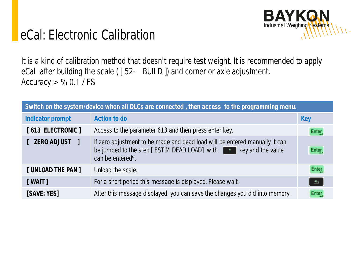

#### eCal: Electronic Calibration

It is a kind of calibration method that doesn't require test weight. It is recommended to apply eCal after building the scale ( [ 52- BUILD ]) and corner or axle adjustment. Accuracy  $\geq$  % 0,1 / FS

| Switch on the system/device when all DLCs are connected, then access to the programming menu. |                                                                                                 |       |  |
|-----------------------------------------------------------------------------------------------|-------------------------------------------------------------------------------------------------|-------|--|
| Indicator prompt                                                                              | Action to do                                                                                    | Key   |  |
| [613 ELECTRONIC]                                                                              | Access to the parameter 613 and then press enter key.                                           | Enter |  |
| [ ZERO ADJUST ]                                                                               | If zero adjustment to be made and dead load will be entered manually it can<br>can be entered*. | Enter |  |
| [ UNLOAD THE PAN ]                                                                            | Unload the scale.                                                                               | Enter |  |
| [WAIT]                                                                                        | For a short period this message is displayed. Please wait.                                      | ್     |  |
| [SAVE: YES]                                                                                   | After this message displayed you can save the changes you did into memory.                      | Enter |  |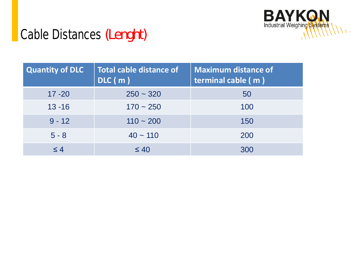

#### Cable Distances *(Lenght)*

| Quantity of DLC | Total cable distance of<br>DIC(m) | <b>Maximum distance of</b><br>terminal cable (m) |
|-----------------|-----------------------------------|--------------------------------------------------|
| $17 - 20$       | $250 - 320$                       | 50                                               |
| $13 - 16$       | $170 - 250$                       | 100                                              |
| $9 - 12$        | $110 - 200$                       | 150                                              |
| $5 - 8$         | $40 \sim 110$                     | 200                                              |
| $\leq 4$        | $\leq 40$                         | 300                                              |